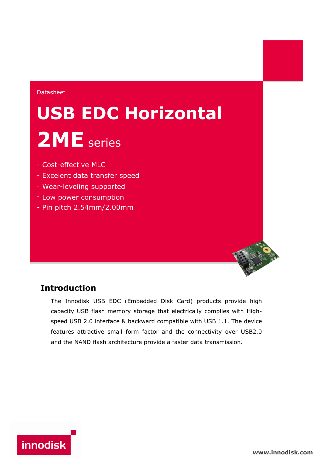### Datasheet

# **USB EDC Horizontal 2ME** series

- Cost-effective MLC
- Excelent data transfer speed
- Wear-leveling supported
- Low power consumption
- Pin pitch 2.54mm/2.00mm

## **Introduction**

The Innodisk USB EDC (Embedded Disk Card) products provide high capacity USB flash memory storage that electrically complies with Highspeed USB 2.0 interface & backward compatible with USB 1.1. The device features attractive small form factor and the connectivity over USB2.0 and the NAND flash architecture provide a faster data transmission.